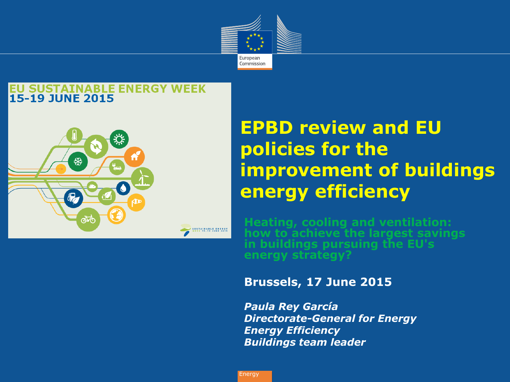

#### **SUSTAINABLE ENERGY WEEK 15-19 JUNE 2015**



#### **EPBD review and EU policies for the improvement of buildings energy efficiency**

**Heating, cooling and ventilation: how to achieve the largest savings in buildings pursuing the EU's energy strategy?**

#### **Brussels, 17 June 2015**

*Paula Rey García Directorate-General for Energy Energy Efficiency Buildings team leader*

Energy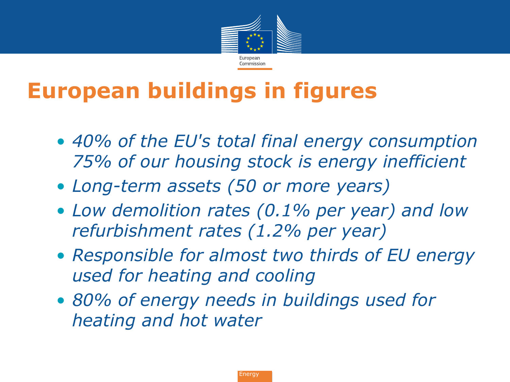

## **European buildings in figures**

- *40% of the EU's total final energy consumption 75% of our housing stock is energy inefficient*
- *Long-term assets (50 or more years)*
- *Low demolition rates (0.1% per year) and low refurbishment rates (1.2% per year)*
- *Responsible for almost two thirds of EU energy used for heating and cooling*
- *80% of energy needs in buildings used for heating and hot water*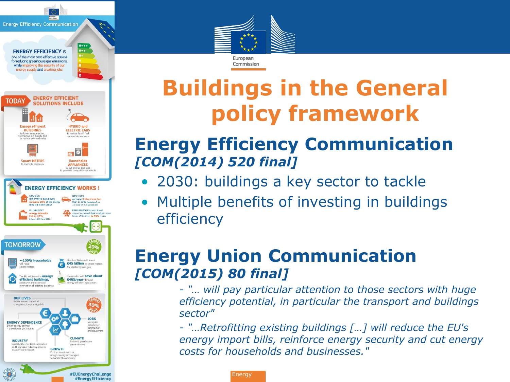**Energy Efficiency Communication** 





and equipment

#EUEnergyChallenge #EnergyEfficiency

**CLIMATE** 

nas emi

**GROWTH** energy saving technologies<br>to benefit the economy

Reduced greenhouse

**INDUSTRY** 

Opportunities for local companies

and high value-added appliances<br>in an efficient market



**Buildings in the General policy framework**

#### • **Energy Efficiency Communication**  *[COM(2014) 520 final]*

- 2030: buildings a key sector to tackle
- Multiple benefits of investing in buildings efficiency

#### **Energy Union Communication** *[COM(2015) 80 final]*

*- "… will pay particular attention to those sectors with huge efficiency potential, in particular the transport and buildings sector"*

*- "…Retrofitting existing buildings […] will reduce the EU's energy import bills, reinforce energy security and cut energy costs for households and businesses."*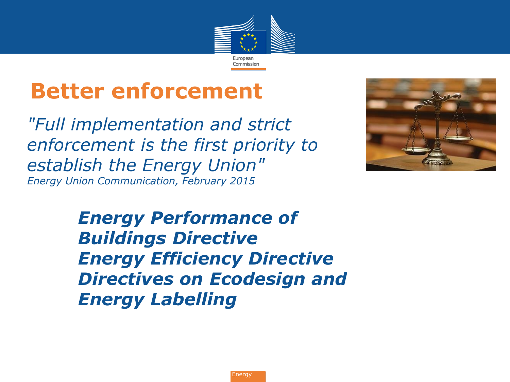

### **Better enforcement**

*"Full implementation and strict enforcement is the first priority to establish the Energy Union" Energy Union Communication, February 2015*



*Energy Performance of Buildings Directive Energy Efficiency Directive Directives on Ecodesign and Energy Labelling*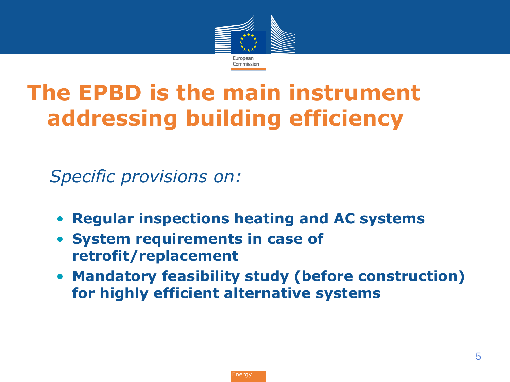

## **The EPBD is the main instrument addressing building efficiency**

• *Specific provisions on:* 

- **Regular inspections heating and AC systems**
- **System requirements in case of retrofit/replacement**
- **Mandatory feasibility study (before construction) for highly efficient alternative systems**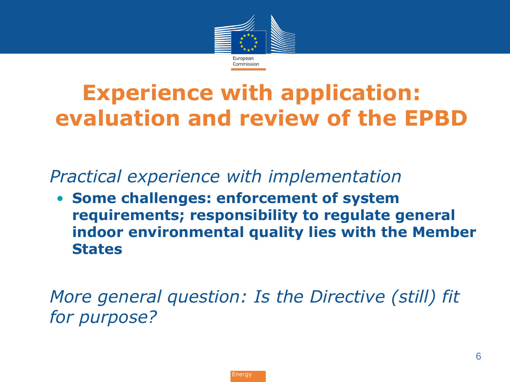

## **Experience with application: evaluation and review of the EPBD**

• *Practical experience with implementation*

• **Some challenges: enforcement of system requirements; responsibility to regulate general indoor environmental quality lies with the Member States**

• *More general question: Is the Directive (still) fit for purpose?*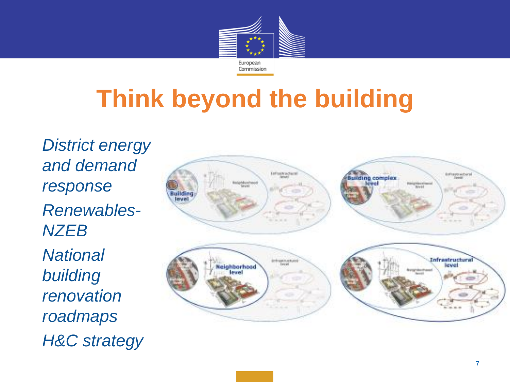

# **Think beyond the building**

• *District energy and demand response* • *Renewables-NZEB* • *National building renovation roadmaps* • *H&C strategy*

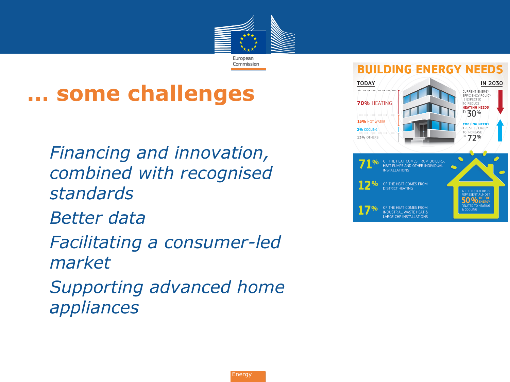

### **… some challenges**

• *Financing and innovation, combined with recognised standards* • *Better data* • *Facilitating a consumer-led market* • *Supporting advanced home appliances*